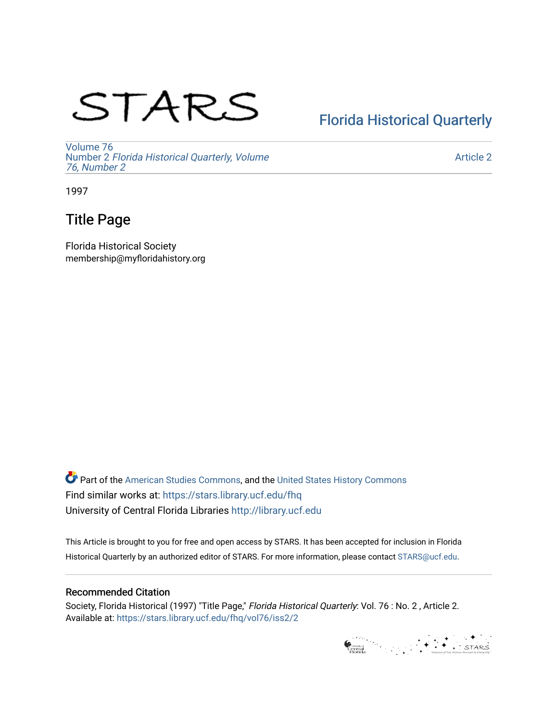# STARS

## [Florida Historical Quarterly](https://stars.library.ucf.edu/fhq)

[Volume 76](https://stars.library.ucf.edu/fhq/vol76) Number 2 [Florida Historical Quarterly, Volume](https://stars.library.ucf.edu/fhq/vol76/iss2)  [76, Number 2](https://stars.library.ucf.edu/fhq/vol76/iss2)

[Article 2](https://stars.library.ucf.edu/fhq/vol76/iss2/2) 

1997

## Title Page

Florida Historical Society membership@myfloridahistory.org

**C** Part of the [American Studies Commons](http://network.bepress.com/hgg/discipline/439?utm_source=stars.library.ucf.edu%2Ffhq%2Fvol76%2Fiss2%2F2&utm_medium=PDF&utm_campaign=PDFCoverPages), and the United States History Commons Find similar works at: <https://stars.library.ucf.edu/fhq> University of Central Florida Libraries [http://library.ucf.edu](http://library.ucf.edu/) 

This Article is brought to you for free and open access by STARS. It has been accepted for inclusion in Florida Historical Quarterly by an authorized editor of STARS. For more information, please contact [STARS@ucf.edu.](mailto:STARS@ucf.edu)

### Recommended Citation

Society, Florida Historical (1997) "Title Page," Florida Historical Quarterly: Vol. 76 : No. 2 , Article 2. Available at: [https://stars.library.ucf.edu/fhq/vol76/iss2/2](https://stars.library.ucf.edu/fhq/vol76/iss2/2?utm_source=stars.library.ucf.edu%2Ffhq%2Fvol76%2Fiss2%2F2&utm_medium=PDF&utm_campaign=PDFCoverPages) 

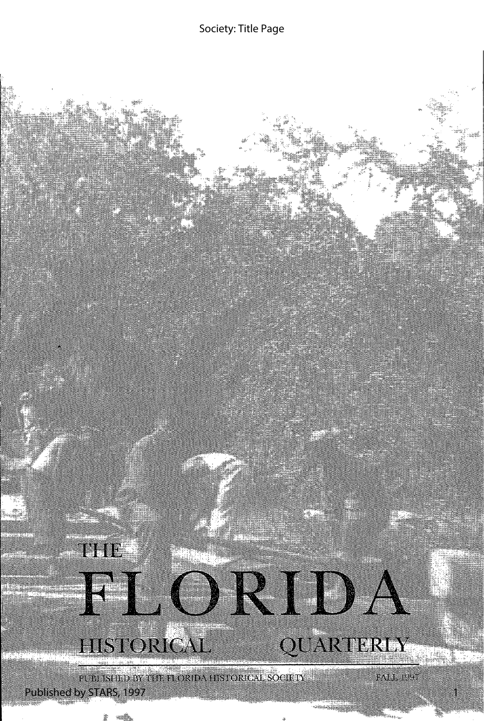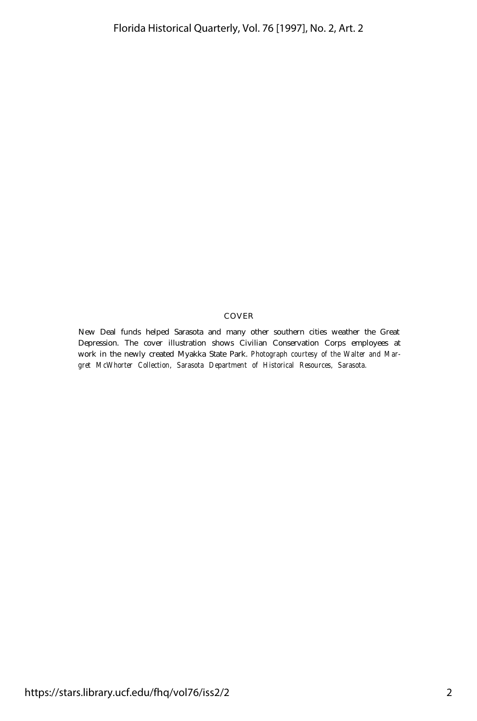#### COVER

New Deal funds helped Sarasota and many other southern cities weather the Great Depression. The cover illustration shows Civilian Conservation Corps employees at work in the newly created Myakka State Park. *Photograph courtesy of the Walter and Margret McWhorter Collection, Sarasota Department of Historical Resources, Sarasota.*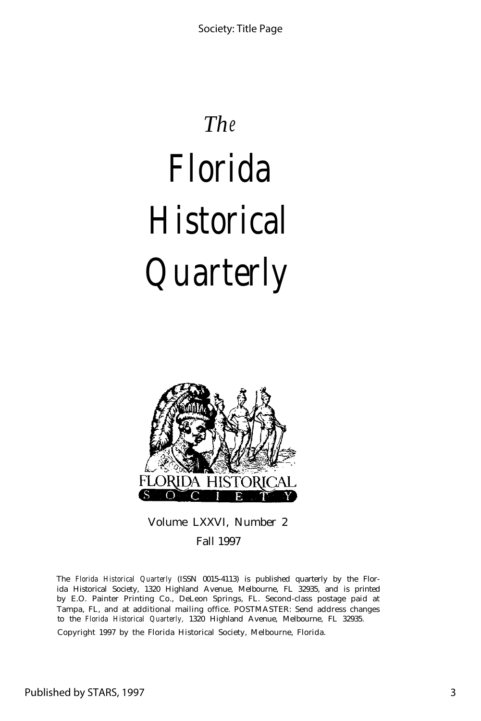## *The*

# *Florida Historical Quarterly*



Volume LXXVI, Number 2 Fall 1997

The *Florida Historical Quarterly* (ISSN 0015-4113) is published quarterly by the Florida Historical Society, 1320 Highland Avenue, Melbourne, FL 32935, and is printed by E.O. Painter Printing Co., DeLeon Springs, FL. Second-class postage paid at Tampa, FL, and at additional mailing office. POSTMASTER: Send address changes to the *Florida Historical Quarterly,* 1320 Highland Avenue, Melbourne, FL 32935.

Copyright 1997 by the Florida Historical Society, Melbourne, Florida.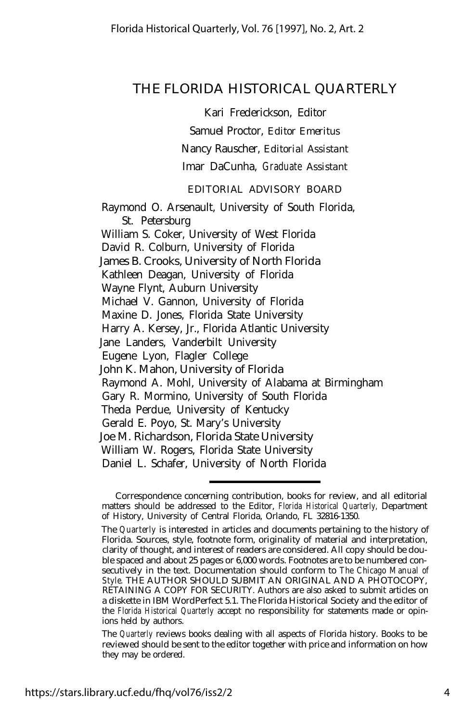### THE FLORIDA HISTORICAL QUARTERLY

Kari Frederickson, Editor

Samuel Proctor, *Editor Emeritus*

Nancy Rauscher, *Editorial Assistant*

Imar DaCunha, *Graduate Assistant*

### *EDITORIAL ADVISORY BOARD*

Raymond O. Arsenault, University of South Florida, St. Petersburg William S. Coker, University of West Florida David R. Colburn, University of Florida James B. Crooks, University of North Florida Kathleen Deagan, University of Florida Wayne Flynt, Auburn University Michael V. Gannon, University of Florida Maxine D. Jones, Florida State University Harry A. Kersey, Jr., Florida Atlantic University Jane Landers, Vanderbilt University Eugene Lyon, Flagler College John K. Mahon, University of Florida Raymond A. Mohl, University of Alabama at Birmingham Gary R. Mormino, University of South Florida Theda Perdue, University of Kentucky Gerald E. Poyo, St. Mary's University Joe M. Richardson, Florida State University William W. Rogers, Florida State University Daniel L. Schafer, University of North Florida

Correspondence concerning contribution, books for review, and all editorial matters should be addressed to the Editor, *Florida Historical Quarterly,* Department of History, University of Central Florida, Orlando, FL 32816-1350.

The *Quarterly* is interested in articles and documents pertaining to the history of Florida. Sources, style, footnote form, originality of material and interpretation, clarity of thought, and interest of readers are considered. All copy should be double spaced and about 25 pages or 6,000 words. Footnotes are to be numbered consecutively in the text. Documentation should conform to *The Chicago Manual of Style.* THE AUTHOR SHOULD SUBMIT AN ORIGINAL AND A PHOTOCOPY, RETAINING A COPY FOR SECURITY. Authors are also asked to submit articles on a diskette in IBM WordPerfect 5.1. The Florida Historical Society and the editor of the *Florida Historical Quarterly* accept no responsibility for statements made or opinions held by authors.

The *Quarterly* reviews books dealing with all aspects of Florida history. Books to be reviewed should be sent to the editor together with price and information on how they may be ordered.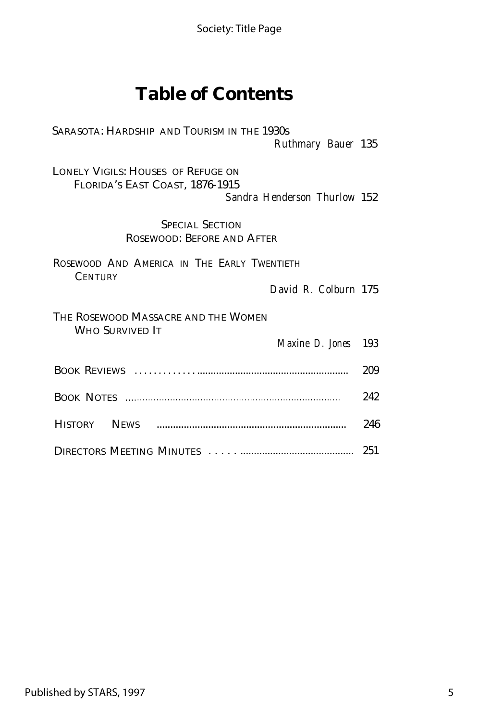## **Table of Contents**

SARASOTA: HARDSHIP AND TOURISM IN THE 1930s *Ruthmary Bauer* 135

LONELY VIGILS: HOUSES OF REFUGE ON FLORIDA'S EAST COAST, 1876-1915 *Sandra Henderson Thurlow* 152

> SPECIAL SECTION ROSEWOOD: BEFORE AND AFTER

ROSEWOOD AND AMERICA IN THE EARLY TWENTIETH **CENTURY** 

*David R. Colburn* 175

| THE ROSEWOOD MASSACRE AND THE WOMEN<br>Who Survived It |                            |     |
|--------------------------------------------------------|----------------------------|-----|
|                                                        | <i>Maxine D. Jones</i> 193 |     |
|                                                        |                            | 209 |
|                                                        |                            | 242 |
|                                                        |                            | 246 |
|                                                        |                            |     |